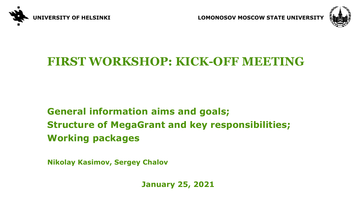

**UNIVERSITY OF HELSINKI LOMONOSOV MOSCOW STATE UNIVERSITY** 



## **FIRST WORKSHOP: KICK-OFF MEETING**

### **General information aims and goals; Structure of MegaGrant and key responsibilities; Working packages**

**Nikolay Kasimov, Sergey Chalov**

**January 25, 2021**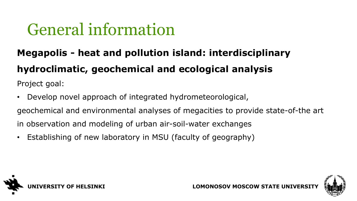# General information

## **Megapolis - heat and pollution island: interdisciplinary hydroclimatic, geochemical and ecological analysis**

Project goal:

- Develop novel approach of integrated hydrometeorological, geochemical and environmental analyses of megacities to provide state-of-the art in observation and modeling of urban air-soil-water exchanges
- Establishing of new laboratory in MSU (faculty of geography)



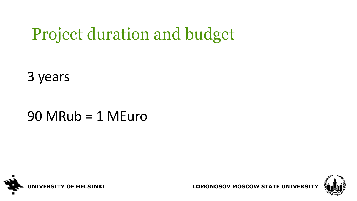# Project duration and budget

3 years

## $90$  MRub = 1 MEuro





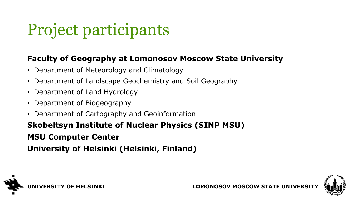# Project participants

#### **Faculty of Geography at Lomonosov Moscow State University**

- Department of Meteorology and Climatology
- Department of Landscape Geochemistry and Soil Geography
- Department of Land Hydrology
- Department of Biogeography
- Department of Cartography and Geoinformation

## **Skobeltsyn Institute of Nuclear Physics (SINP MSU)**

#### **MSU Computer Center**

**University of Helsinki (Helsinki, Finland)**



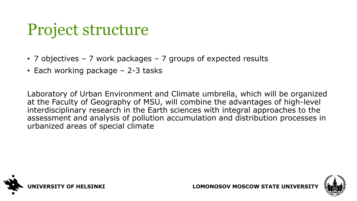## Project structure

- 7 objectives 7 work packages 7 groups of expected results
- Each working package 2-3 tasks

Laboratory of Urban Environment and Climate umbrella, which will be organized at the Faculty of Geography of MSU, will combine the advantages of high-level interdisciplinary research in the Earth sciences with integral approaches to the assessment and analysis of pollution accumulation and distribution processes in urbanized areas of special climate



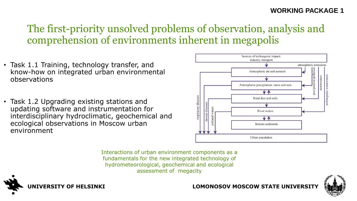#### **WORKING PACKAGE 1**

### The first-priority unsolved problems of observation, analysis and comprehension of environments inherent in megapolis

- Task 1.1 Training, technology transfer, and know-how on integrated urban environmental observations
- Task 1.2 Upgrading existing stations and updating software and instrumentation for interdisciplinary hydroclimatic, geochemical and ecological observations in Moscow urban environment



Interactions of urban environment components as a fundamentals for the new integrated technology of hydrometeorological, geochemical and ecological assessment of megacity



#### **UNIVERSITY OF HELSINKI LOMONOSOV MOSCOW STATE UNIVERSITY**

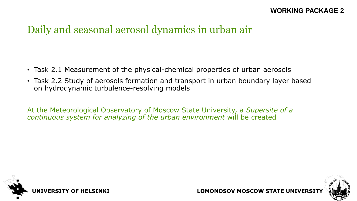### Daily and seasonal aerosol dynamics in urban air

- Task 2.1 Measurement of the physical-chemical properties of urban aerosols
- Task 2.2 Study of aerosols formation and transport in urban boundary layer based on hydrodynamic turbulence-resolving models

At the Meteorological Observatory of Moscow State University, a *Supersite of a continuous system for analyzing of the urban environment* will be created



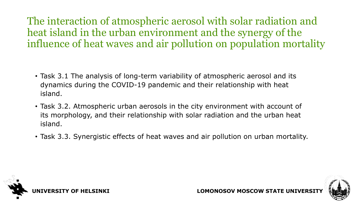The interaction of atmospheric aerosol with solar radiation and heat island in the urban environment and the synergy of the influence of heat waves and air pollution on population mortality

- Task 3.1 The analysis of long-term variability of atmospheric aerosol and its dynamics during the COVID-19 pandemic and their relationship with heat island.
- Task 3.2. Atmospheric urban aerosols in the city environment with account of its morphology, and their relationship with solar radiation and the urban heat island.
- Task 3.3. Synergistic effects of heat waves and air pollution on urban mortality.



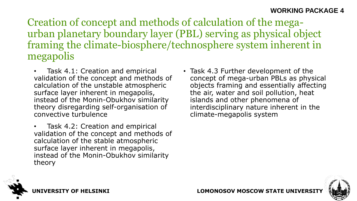Creation of concept and methods of calculation of the megaurban planetary boundary layer (PBL) serving as physical object framing the climate-biosphere/technosphere system inherent in megapolis

- Task 4.1: Creation and empirical validation of the concept and methods of calculation of the unstable atmospheric surface layer inherent in megapolis, instead of the Monin-Obukhov similarity theory disregarding self-organisation of convective turbulence
- Task 4.2: Creation and empirical validation of the concept and methods of calculation of the stable atmospheric surface layer inherent in megapolis, instead of the Monin-Obukhov similarity theory
- Task 4.3 Further development of the concept of mega-urban PBLs as physical objects framing and essentially affecting the air, water and soil pollution, heat islands and other phenomena of interdisciplinary nature inherent in the climate-megapolis system



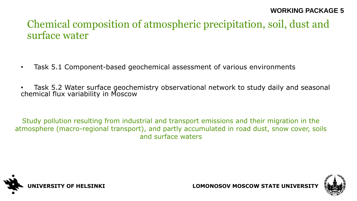### Chemical composition of atmospheric precipitation, soil, dust and surface water

- Task 5.1 Component-based geochemical assessment of various environments
- Task 5.2 Water surface geochemistry observational network to study daily and seasonal chemical flux variability in Moscow

Study pollution resulting from industrial and transport emissions and their migration in the atmosphere (macro-regional transport), and partly accumulated in road dust, snow cover, soils and surface waters



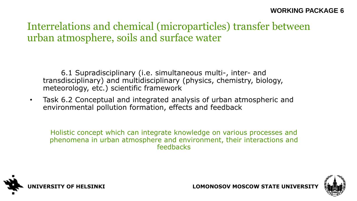### Interrelations and chemical (microparticles) transfer between urban atmosphere, soils and surface water

6.1 Supradisciplinary (i.e. simultaneous multi-, inter- and transdisciplinary) and multidisciplinary (physics, chemistry, biology, meteorology, etc.) scientific framework

• Task 6.2 Conceptual and integrated analysis of urban atmospheric and environmental pollution formation, effects and feedback

Holistic concept which can integrate knowledge on various processes and phenomena in urban atmosphere and environment, their interactions and feedbacks



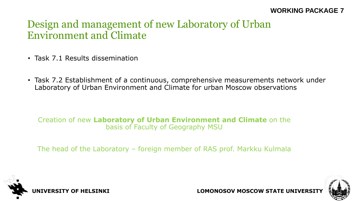#### **WORKING PACKAGE 7**

### Design and management of new Laboratory of Urban Environment and Climate

- Task 7.1 Results dissemination
- Task 7.2 Establishment of a continuous, comprehensive measurements network under Laboratory of Urban Environment and Climate for urban Moscow observations

#### Creation of new **Laboratory of Urban Environment and Climate** on the basis of Faculty of Geography MSU

The head of the Laboratory – foreign member of RAS prof. Markku Kulmala



**UNIVERSITY OF HELSINKI LOMONOSOV MOSCOW STATE UNIVERSITY** 

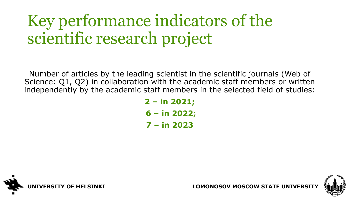# Key performance indicators of the scientific research project

Number of articles by the leading scientist in the scientific journals (Web of Science: Q1, Q2) in collaboration with the academic staff members or written independently by the academic staff members in the selected field of studies:

> **2 – in 2021; 6 – in 2022; 7 – in 2023**